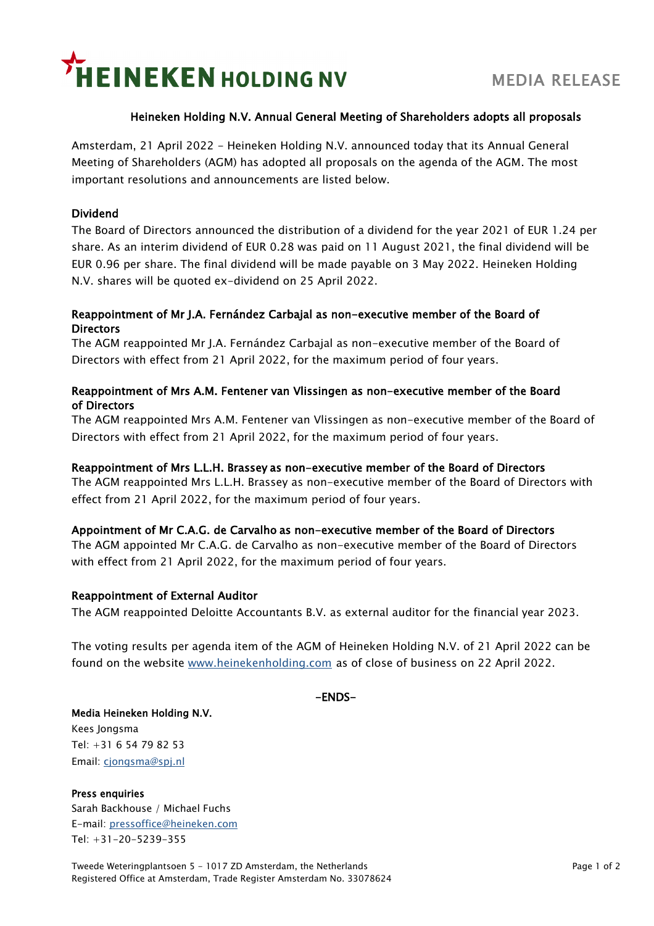# **HEINEKEN HOLDING NV**

### Heineken Holding N.V. Annual General Meeting of Shareholders adopts all proposals

Amsterdam, 21 April 2022 - Heineken Holding N.V. announced today that its Annual General Meeting of Shareholders (AGM) has adopted all proposals on the agenda of the AGM. The most important resolutions and announcements are listed below.

### Dividend

The Board of Directors announced the distribution of a dividend for the year 2021 of EUR 1.24 per share. As an interim dividend of EUR 0.28 was paid on 11 August 2021, the final dividend will be EUR 0.96 per share. The final dividend will be made payable on 3 May 2022. Heineken Holding N.V. shares will be quoted ex-dividend on 25 April 2022.

### Reappointment of Mr J.A. Fernández Carbajal as non-executive member of the Board of **Directors**

The AGM reappointed Mr J.A. Fernández Carbajal as non-executive member of the Board of Directors with effect from 21 April 2022, for the maximum period of four years.

#### Reappointment of Mrs A.M. Fentener van Vlissingen as non-executive member of the Board of Directors

The AGM reappointed Mrs A.M. Fentener van Vlissingen as non-executive member of the Board of Directors with effect from 21 April 2022, for the maximum period of four years.

#### Reappointment of Mrs L.L.H. Brassey as non-executive member of the Board of Directors

The AGM reappointed Mrs L.L.H. Brassey as non-executive member of the Board of Directors with effect from 21 April 2022, for the maximum period of four years.

#### Appointment of Mr C.A.G. de Carvalho as non-executive member of the Board of Directors

The AGM appointed Mr C.A.G. de Carvalho as non-executive member of the Board of Directors with effect from 21 April 2022, for the maximum period of four years.

#### Reappointment of External Auditor

The AGM reappointed Deloitte Accountants B.V. as external auditor for the financial year 2023.

The voting results per agenda item of the AGM of Heineken Holding N.V. of 21 April 2022 can be found on the website [www.heinekenholding.com](http://www.heinekenholding.com/) as of close of business on 22 April 2022.

-ENDS-

Media Heineken Holding N.V. Kees Jongsma Tel: +31 6 54 79 82 53 Email: [cjongsma@spj.nl](mailto:cjongsma@spj.nl)

Press enquiries Sarah Backhouse / Michael Fuchs E-mail: [pressoffice@heineken.com](mailto:pressoffice@heineken.com) Tel: +31-20-5239-355